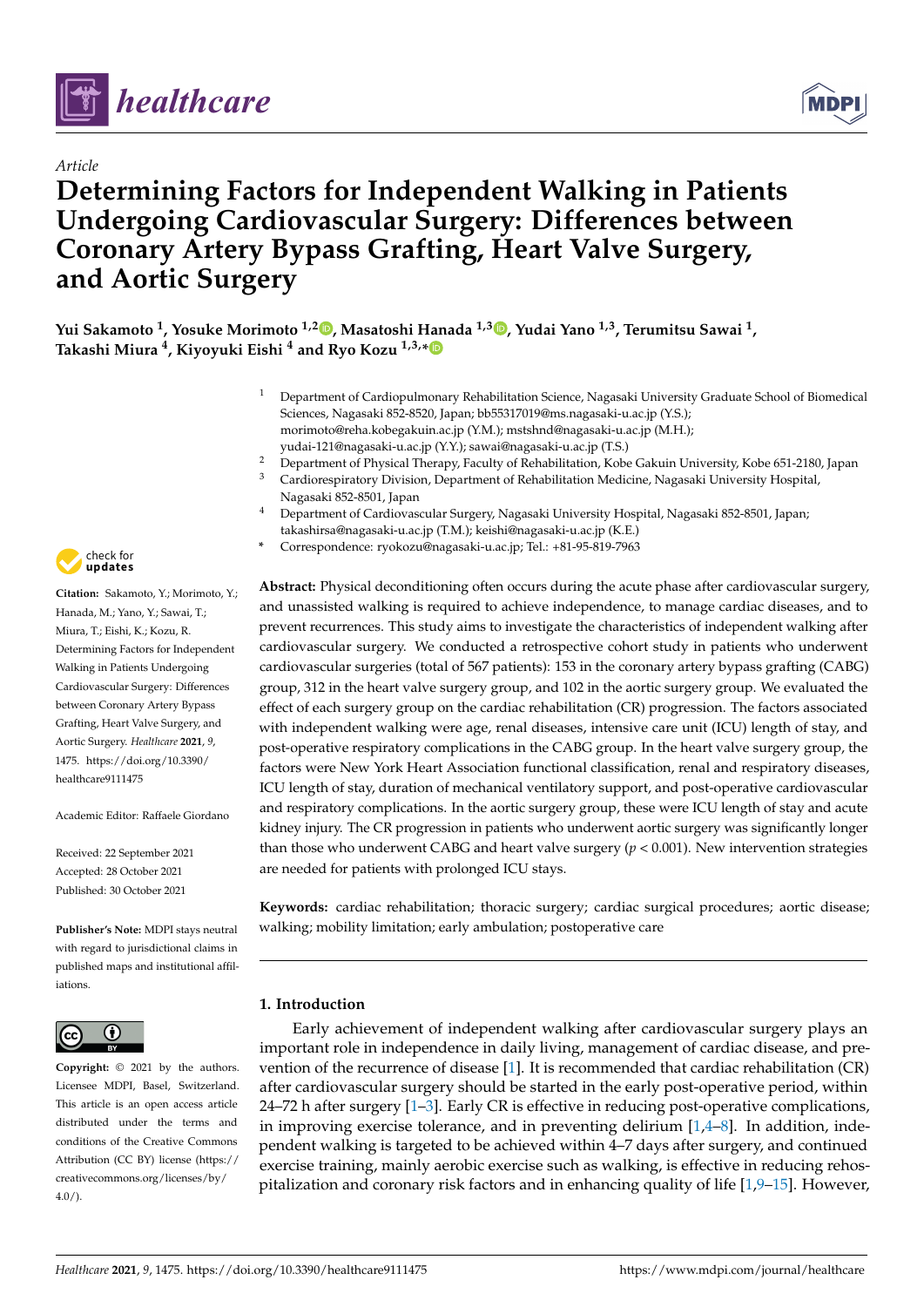

# *Article*

# **Determining Factors for Independent Walking in Patients Undergoing Cardiovascular Surgery: Differences between Coronary Artery Bypass Grafting, Heart Valve Surgery, and Aortic Surgery**



**Yui Sakamoto <sup>1</sup> , Yosuke Morimoto 1,2 [,](https://orcid.org/0000-0002-8944-1720) Masatoshi Hanada 1,3 [,](https://orcid.org/0000-0002-6201-4921) Yudai Yano 1,3, Terumitsu Sawai <sup>1</sup> , Takashi Miura <sup>4</sup> , Kiyoyuki Eishi <sup>4</sup> and Ryo Kozu 1,3,[\\*](https://orcid.org/0000-0002-9310-185X)**

- <sup>1</sup> Department of Cardiopulmonary Rehabilitation Science, Nagasaki University Graduate School of Biomedical Sciences, Nagasaki 852-8520, Japan; bb55317019@ms.nagasaki-u.ac.jp (Y.S.); morimoto@reha.kobegakuin.ac.jp (Y.M.); mstshnd@nagasaki-u.ac.jp (M.H.); yudai-121@nagasaki-u.ac.jp (Y.Y.); sawai@nagasaki-u.ac.jp (T.S.)
- <sup>2</sup> Department of Physical Therapy, Faculty of Rehabilitation, Kobe Gakuin University, Kobe 651-2180, Japan
- <sup>3</sup> Cardiorespiratory Division, Department of Rehabilitation Medicine, Nagasaki University Hospital,
	- Nagasaki 852-8501, Japan
	- <sup>4</sup> Department of Cardiovascular Surgery, Nagasaki University Hospital, Nagasaki 852-8501, Japan; takashirsa@nagasaki-u.ac.jp (T.M.); keishi@nagasaki-u.ac.jp (K.E.)
- **\*** Correspondence: ryokozu@nagasaki-u.ac.jp; Tel.: +81-95-819-7963

**Abstract:** Physical deconditioning often occurs during the acute phase after cardiovascular surgery, and unassisted walking is required to achieve independence, to manage cardiac diseases, and to prevent recurrences. This study aims to investigate the characteristics of independent walking after cardiovascular surgery. We conducted a retrospective cohort study in patients who underwent cardiovascular surgeries (total of 567 patients): 153 in the coronary artery bypass grafting (CABG) group, 312 in the heart valve surgery group, and 102 in the aortic surgery group. We evaluated the effect of each surgery group on the cardiac rehabilitation (CR) progression. The factors associated with independent walking were age, renal diseases, intensive care unit (ICU) length of stay, and post-operative respiratory complications in the CABG group. In the heart valve surgery group, the factors were New York Heart Association functional classification, renal and respiratory diseases, ICU length of stay, duration of mechanical ventilatory support, and post-operative cardiovascular and respiratory complications. In the aortic surgery group, these were ICU length of stay and acute kidney injury. The CR progression in patients who underwent aortic surgery was significantly longer than those who underwent CABG and heart valve surgery (*p* < 0.001). New intervention strategies are needed for patients with prolonged ICU stays.

**Keywords:** cardiac rehabilitation; thoracic surgery; cardiac surgical procedures; aortic disease; walking; mobility limitation; early ambulation; postoperative care

# **1. Introduction**

Early achievement of independent walking after cardiovascular surgery plays an important role in independence in daily living, management of cardiac disease, and prevention of the recurrence of disease [\[1\]](#page-8-0). It is recommended that cardiac rehabilitation (CR) after cardiovascular surgery should be started in the early post-operative period, within  $24-72$  h after surgery  $[1-3]$  $[1-3]$ . Early CR is effective in reducing post-operative complications, in improving exercise tolerance, and in preventing delirium  $[1,4-8]$  $[1,4-8]$  $[1,4-8]$ . In addition, independent walking is targeted to be achieved within 4–7 days after surgery, and continued exercise training, mainly aerobic exercise such as walking, is effective in reducing rehospitalization and coronary risk factors and in enhancing quality of life  $[1,9-15]$  $[1,9-15]$  $[1,9-15]$ . However,



**Citation:** Sakamoto, Y.; Morimoto, Y.; Hanada, M.; Yano, Y.; Sawai, T.; Miura, T.; Eishi, K.; Kozu, R. Determining Factors for Independent Walking in Patients Undergoing Cardiovascular Surgery: Differences between Coronary Artery Bypass Grafting, Heart Valve Surgery, and Aortic Surgery. *Healthcare* **2021**, *9*, 1475. [https://doi.org/10.3390/](https://doi.org/10.3390/healthcare9111475) [healthcare9111475](https://doi.org/10.3390/healthcare9111475)

Academic Editor: Raffaele Giordano

Received: 22 September 2021 Accepted: 28 October 2021 Published: 30 October 2021

**Publisher's Note:** MDPI stays neutral with regard to jurisdictional claims in published maps and institutional affiliations.



**Copyright:** © 2021 by the authors. Licensee MDPI, Basel, Switzerland. This article is an open access article distributed under the terms and conditions of the Creative Commons Attribution (CC BY) license (https:/[/](https://creativecommons.org/licenses/by/4.0/) [creativecommons.org/licenses/by/](https://creativecommons.org/licenses/by/4.0/)  $4.0/$ ).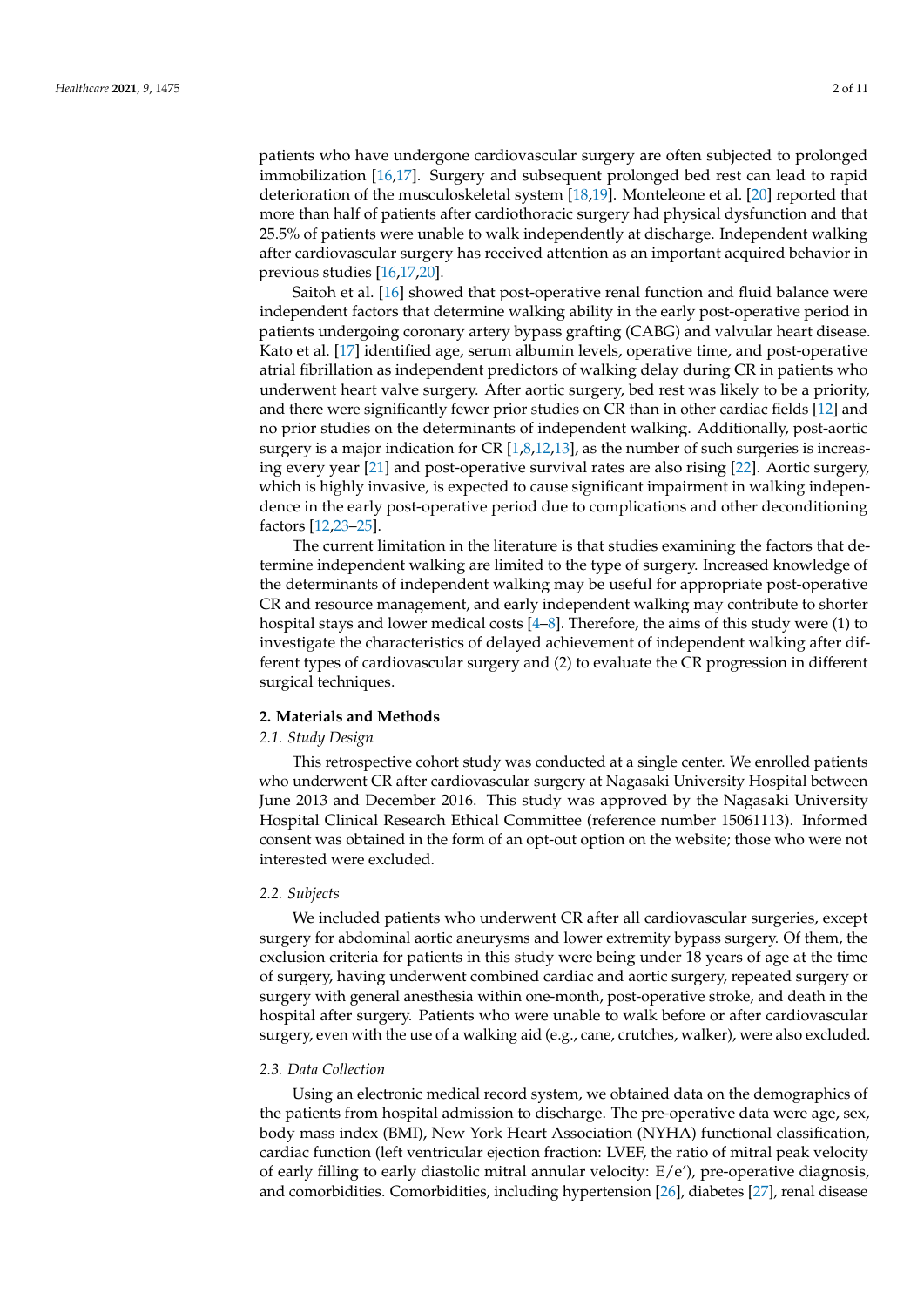patients who have undergone cardiovascular surgery are often subjected to prolonged immobilization [\[16](#page-9-3)[,17\]](#page-9-4). Surgery and subsequent prolonged bed rest can lead to rapid deterioration of the musculoskeletal system [\[18,](#page-9-5)[19\]](#page-9-6). Monteleone et al. [\[20\]](#page-9-7) reported that more than half of patients after cardiothoracic surgery had physical dysfunction and that 25.5% of patients were unable to walk independently at discharge. Independent walking after cardiovascular surgery has received attention as an important acquired behavior in previous studies [\[16](#page-9-3)[,17](#page-9-4)[,20\]](#page-9-7).

Saitoh et al. [\[16\]](#page-9-3) showed that post-operative renal function and fluid balance were independent factors that determine walking ability in the early post-operative period in patients undergoing coronary artery bypass grafting (CABG) and valvular heart disease. Kato et al. [\[17\]](#page-9-4) identified age, serum albumin levels, operative time, and post-operative atrial fibrillation as independent predictors of walking delay during CR in patients who underwent heart valve surgery. After aortic surgery, bed rest was likely to be a priority, and there were significantly fewer prior studies on CR than in other cardiac fields [\[12\]](#page-9-8) and no prior studies on the determinants of independent walking. Additionally, post-aortic surgery is a major indication for CR [\[1](#page-8-0)[,8](#page-9-0)[,12,](#page-9-8)[13\]](#page-9-9), as the number of such surgeries is increasing every year [\[21\]](#page-9-10) and post-operative survival rates are also rising [\[22\]](#page-9-11). Aortic surgery, which is highly invasive, is expected to cause significant impairment in walking independence in the early post-operative period due to complications and other deconditioning factors [\[12,](#page-9-8)[23](#page-9-12)[–25\]](#page-9-13).

The current limitation in the literature is that studies examining the factors that determine independent walking are limited to the type of surgery. Increased knowledge of the determinants of independent walking may be useful for appropriate post-operative CR and resource management, and early independent walking may contribute to shorter hospital stays and lower medical costs [\[4](#page-8-2)[–8\]](#page-9-0). Therefore, the aims of this study were (1) to investigate the characteristics of delayed achievement of independent walking after different types of cardiovascular surgery and (2) to evaluate the CR progression in different surgical techniques.

#### **2. Materials and Methods**

#### *2.1. Study Design*

This retrospective cohort study was conducted at a single center. We enrolled patients who underwent CR after cardiovascular surgery at Nagasaki University Hospital between June 2013 and December 2016. This study was approved by the Nagasaki University Hospital Clinical Research Ethical Committee (reference number 15061113). Informed consent was obtained in the form of an opt-out option on the website; those who were not interested were excluded.

# *2.2. Subjects*

We included patients who underwent CR after all cardiovascular surgeries, except surgery for abdominal aortic aneurysms and lower extremity bypass surgery. Of them, the exclusion criteria for patients in this study were being under 18 years of age at the time of surgery, having underwent combined cardiac and aortic surgery, repeated surgery or surgery with general anesthesia within one-month, post-operative stroke, and death in the hospital after surgery. Patients who were unable to walk before or after cardiovascular surgery, even with the use of a walking aid (e.g., cane, crutches, walker), were also excluded.

#### *2.3. Data Collection*

Using an electronic medical record system, we obtained data on the demographics of the patients from hospital admission to discharge. The pre-operative data were age, sex, body mass index (BMI), New York Heart Association (NYHA) functional classification, cardiac function (left ventricular ejection fraction: LVEF, the ratio of mitral peak velocity of early filling to early diastolic mitral annular velocity: E/e'), pre-operative diagnosis, and comorbidities. Comorbidities, including hypertension [\[26\]](#page-9-14), diabetes [\[27\]](#page-9-15), renal disease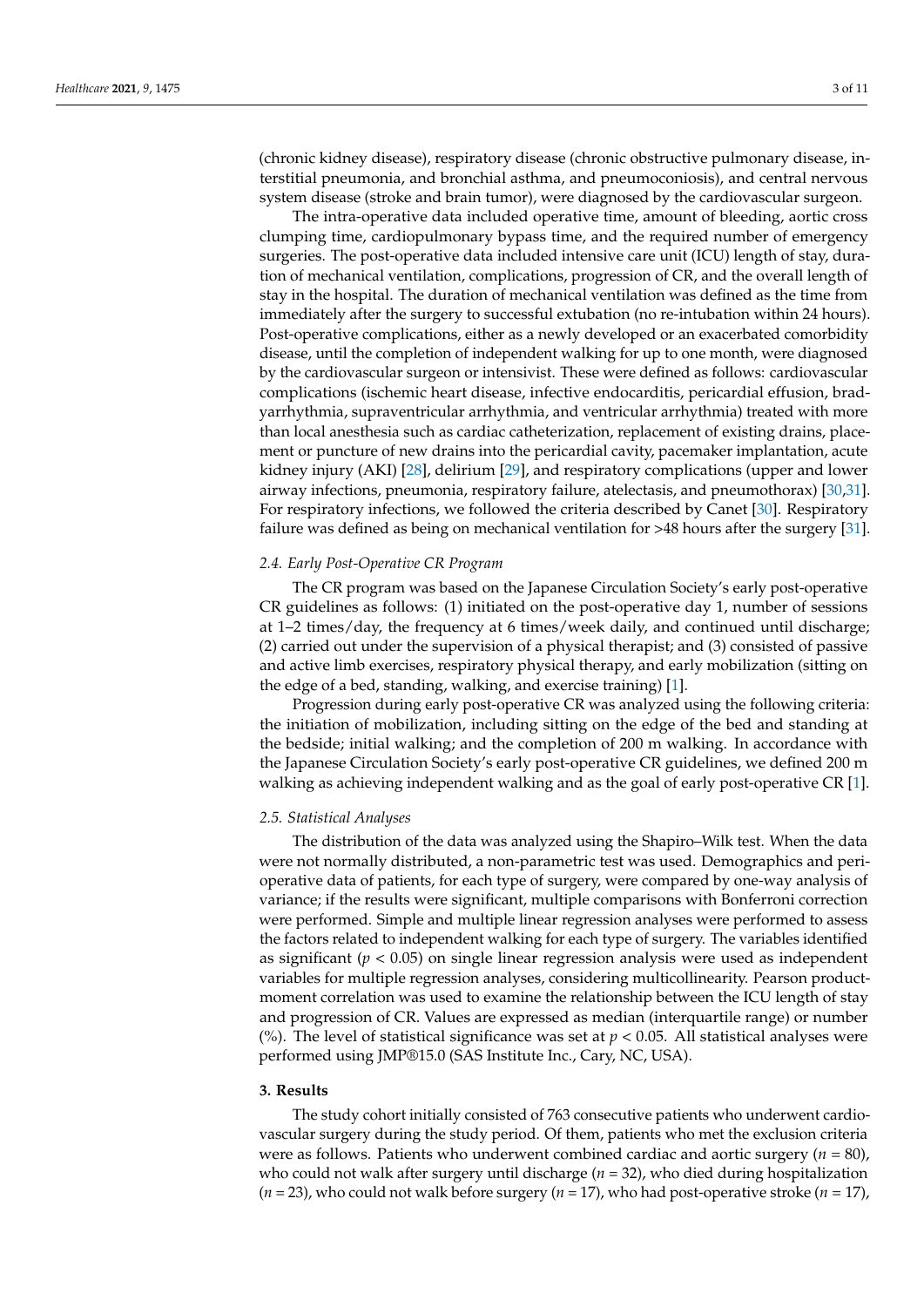(chronic kidney disease), respiratory disease (chronic obstructive pulmonary disease, interstitial pneumonia, and bronchial asthma, and pneumoconiosis), and central nervous system disease (stroke and brain tumor), were diagnosed by the cardiovascular surgeon.

The intra-operative data included operative time, amount of bleeding, aortic cross clumping time, cardiopulmonary bypass time, and the required number of emergency surgeries. The post-operative data included intensive care unit (ICU) length of stay, duration of mechanical ventilation, complications, progression of CR, and the overall length of stay in the hospital. The duration of mechanical ventilation was defined as the time from immediately after the surgery to successful extubation (no re-intubation within 24 hours). Post-operative complications, either as a newly developed or an exacerbated comorbidity disease, until the completion of independent walking for up to one month, were diagnosed by the cardiovascular surgeon or intensivist. These were defined as follows: cardiovascular complications (ischemic heart disease, infective endocarditis, pericardial effusion, bradyarrhythmia, supraventricular arrhythmia, and ventricular arrhythmia) treated with more than local anesthesia such as cardiac catheterization, replacement of existing drains, placement or puncture of new drains into the pericardial cavity, pacemaker implantation, acute kidney injury (AKI) [\[28\]](#page-9-16), delirium [\[29\]](#page-9-17), and respiratory complications (upper and lower airway infections, pneumonia, respiratory failure, atelectasis, and pneumothorax) [\[30,](#page-10-0)[31\]](#page-10-1). For respiratory infections, we followed the criteria described by Canet [\[30\]](#page-10-0). Respiratory failure was defined as being on mechanical ventilation for >48 hours after the surgery [\[31\]](#page-10-1).

## *2.4. Early Post-Operative CR Program*

The CR program was based on the Japanese Circulation Society's early post-operative CR guidelines as follows: (1) initiated on the post-operative day 1, number of sessions at 1–2 times/day, the frequency at 6 times/week daily, and continued until discharge; (2) carried out under the supervision of a physical therapist; and (3) consisted of passive and active limb exercises, respiratory physical therapy, and early mobilization (sitting on the edge of a bed, standing, walking, and exercise training) [\[1\]](#page-8-0).

Progression during early post-operative CR was analyzed using the following criteria: the initiation of mobilization, including sitting on the edge of the bed and standing at the bedside; initial walking; and the completion of 200 m walking. In accordance with the Japanese Circulation Society's early post-operative CR guidelines, we defined 200 m walking as achieving independent walking and as the goal of early post-operative CR [\[1\]](#page-8-0).

#### *2.5. Statistical Analyses*

The distribution of the data was analyzed using the Shapiro–Wilk test. When the data were not normally distributed, a non-parametric test was used. Demographics and perioperative data of patients, for each type of surgery, were compared by one-way analysis of variance; if the results were significant, multiple comparisons with Bonferroni correction were performed. Simple and multiple linear regression analyses were performed to assess the factors related to independent walking for each type of surgery. The variables identified as significant  $(p < 0.05)$  on single linear regression analysis were used as independent variables for multiple regression analyses, considering multicollinearity. Pearson productmoment correlation was used to examine the relationship between the ICU length of stay and progression of CR. Values are expressed as median (interquartile range) or number (%). The level of statistical significance was set at *p <* 0.05. All statistical analyses were performed using JMP®15.0 (SAS Institute Inc., Cary, NC, USA).

#### **3. Results**

The study cohort initially consisted of 763 consecutive patients who underwent cardiovascular surgery during the study period. Of them, patients who met the exclusion criteria were as follows. Patients who underwent combined cardiac and aortic surgery (*n* = 80), who could not walk after surgery until discharge (*n* = 32), who died during hospitalization (*n* = 23), who could not walk before surgery (*n* = 17), who had post-operative stroke (*n* = 17),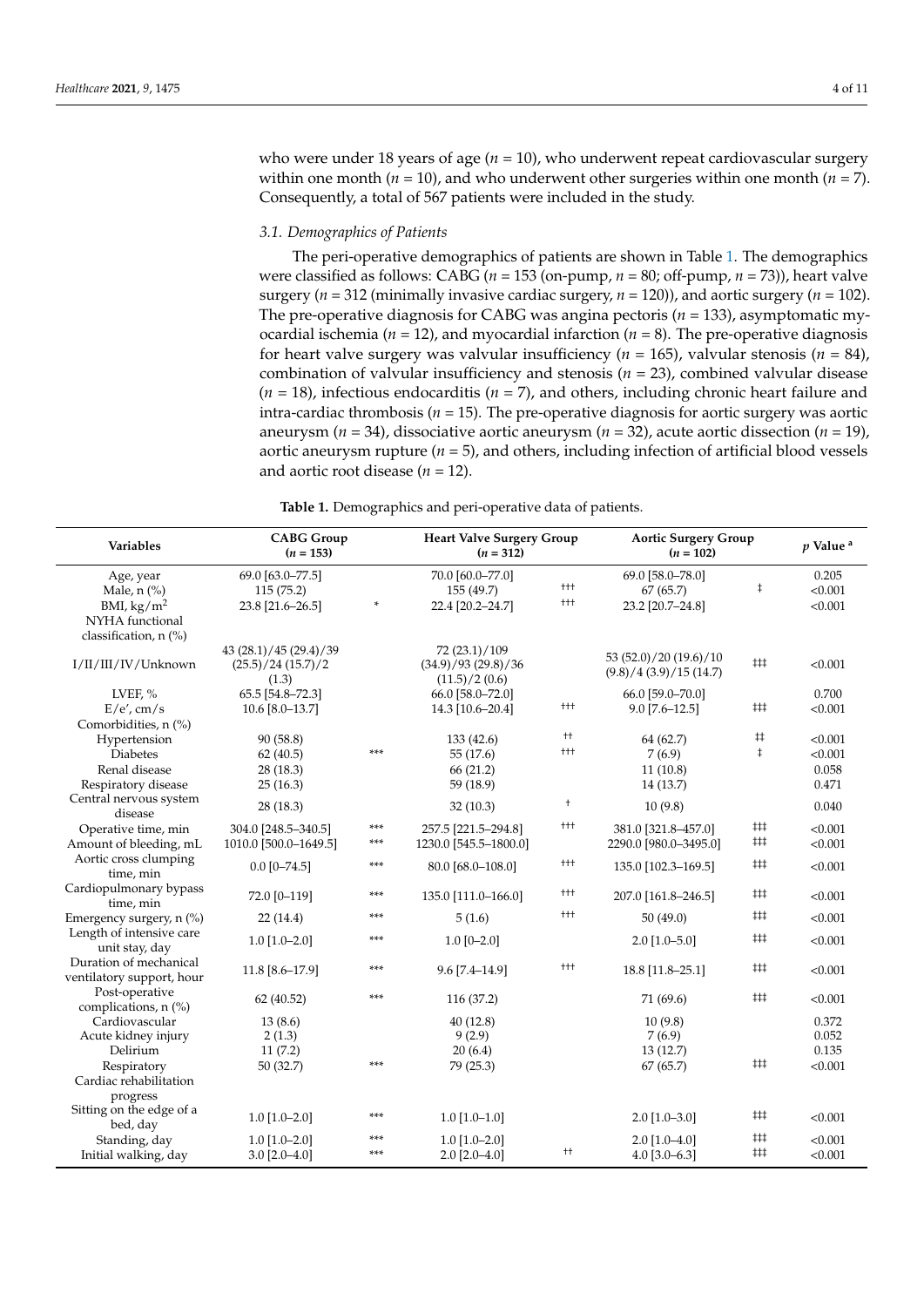who were under 18 years of age (*n* = 10), who underwent repeat cardiovascular surgery within one month ( $n = 10$ ), and who underwent other surgeries within one month ( $n = 7$ ). Consequently, a total of 567 patients were included in the study.

## *3.1. Demographics of Patients*

The peri-operative demographics of patients are shown in Table [1.](#page-4-0) The demographics were classified as follows: CABG (*n* = 153 (on-pump, *n* = 80; off-pump, *n* = 73)), heart valve surgery ( $n = 312$  (minimally invasive cardiac surgery,  $n = 120$ )), and aortic surgery ( $n = 102$ ). The pre-operative diagnosis for CABG was angina pectoris (*n* = 133), asymptomatic myocardial ischemia ( $n = 12$ ), and myocardial infarction ( $n = 8$ ). The pre-operative diagnosis for heart valve surgery was valvular insufficiency (*n* = 165), valvular stenosis (*n* = 84), combination of valvular insufficiency and stenosis (*n* = 23), combined valvular disease (*n* = 18), infectious endocarditis (*n* = 7), and others, including chronic heart failure and intra-cardiac thrombosis ( $n = 15$ ). The pre-operative diagnosis for aortic surgery was aortic aneurysm (*n* = 34), dissociative aortic aneurysm (*n* = 32), acute aortic dissection (*n* = 19), aortic aneurysm rupture  $(n = 5)$ , and others, including infection of artificial blood vessels and aortic root disease  $(n = 12)$ .

**Table 1.** Demographics and peri-operative data of patients.

| <b>Variables</b>                     | <b>CABG</b> Group<br>$(n = 153)$ |     | <b>Heart Valve Surgery Group</b><br>$(n = 312)$ |         | <b>Aortic Surgery Group</b><br>$(n = 102)$ | <i>v</i> Value <sup>a</sup>   |         |
|--------------------------------------|----------------------------------|-----|-------------------------------------------------|---------|--------------------------------------------|-------------------------------|---------|
| Age, year                            | 69.0 [63.0-77.5]                 |     | 70.0 [60.0-77.0]                                |         | 69.0 [58.0-78.0]                           |                               | 0.205   |
| Male, $n$ $\left(\frac{9}{6}\right)$ | 115(75.2)                        |     | 155 (49.7)                                      | $^{++}$ | 67(65.7)                                   | $\ddagger$                    | < 0.001 |
| BMI, $\text{kg/m}^2$                 | 23.8 [21.6-26.5]                 |     | 22.4 [20.2-24.7]                                | $+ + +$ | 23.2 [20.7-24.8]                           |                               | < 0.001 |
| NYHA functional                      |                                  |     |                                                 |         |                                            |                               |         |
| classification, n (%)                |                                  |     |                                                 |         |                                            |                               |         |
|                                      | 43 (28.1)/45 (29.4)/39           |     | 72 (23.1)/109                                   |         | 53 (52.0)/20 (19.6)/10                     |                               |         |
| I/II/III/IV/Unknown                  | (25.5)/24(15.7)/2                |     | (34.9)/93(29.8)/36                              |         | (9.8)/4(3.9)/15(14.7)                      | $‡$ ‡                         | < 0.001 |
|                                      | (1.3)                            |     | (11.5)/2(0.6)                                   |         |                                            |                               |         |
| LVEF, $%$                            | 65.5 [54.8-72.3]                 |     | 66.0 [58.0-72.0]                                |         | 66.0 [59.0-70.0]                           |                               | 0.700   |
| E/e', cm/s                           | $10.6$ [8.0-13.7]                |     | 14.3 [10.6-20.4]                                | $^{++}$ | $9.0$ [7.6-12.5]                           | $^{\ddagger\ddagger\ddagger}$ | < 0.001 |
| Comorbidities, n (%)                 |                                  |     |                                                 |         |                                            |                               |         |
| Hypertension                         | 90 (58.8)                        |     | 133(42.6)                                       | $^{++}$ | 64 (62.7)                                  | $\ddagger\ddagger$            | < 0.001 |
| <b>Diabetes</b>                      | 62(40.5)                         | *** | 55 (17.6)                                       | $+ + +$ | 7(6.9)                                     | $\ddagger$                    | < 0.001 |
| Renal disease                        | 28 (18.3)                        |     | 66 (21.2)                                       |         | 11(10.8)                                   |                               | 0.058   |
| Respiratory disease                  | 25(16.3)                         |     | 59 (18.9)                                       |         | 14(13.7)                                   |                               | 0.471   |
| Central nervous system               |                                  |     |                                                 | $^{+}$  |                                            |                               | 0.040   |
| disease                              | 28 (18.3)                        |     | 32(10.3)                                        |         | 10(9.8)                                    |                               |         |
| Operative time, min                  | 304.0 [248.5-340.5]              | *** | 257.5 [221.5-294.8]                             | $^{++}$ | 381.0 [321.8-457.0]                        | ###                           | < 0.001 |
| Amount of bleeding, mL               | 1010.0 [500.0-1649.5]            | *** | 1230.0 [545.5-1800.0]                           |         | 2290.0 [980.0-3495.0]                      | $^{\ddagger\ddagger\ddagger}$ | < 0.001 |
| Aortic cross clumping                |                                  | *** |                                                 | $+ + +$ |                                            | ##                            | < 0.001 |
| time, min                            | $0.0$ [0-74.5]                   |     | 80.0 [68.0-108.0]                               |         | 135.0 [102.3-169.5]                        |                               |         |
| Cardiopulmonary bypass               | 72.0 [0-119]                     | *** | 135.0 [111.0-166.0]                             | $^{++}$ | 207.0 [161.8-246.5]                        | ##                            | < 0.001 |
| time, min                            |                                  |     |                                                 |         |                                            |                               |         |
| Emergency surgery, n (%)             | 22(14.4)                         | *** | 5(1.6)                                          | $+ + +$ | 50(49.0)                                   | $^{\ddagger\ddagger\ddagger}$ | < 0.001 |
| Length of intensive care             | $1.0$ [1.0-2.0]                  | *** | $1.0$ [0-2.0]                                   |         | $2.0$ [1.0-5.0]                            | ##                            | < 0.001 |
| unit stay, day                       |                                  |     |                                                 |         |                                            |                               |         |
| Duration of mechanical               | 11.8 [8.6-17.9]                  | *** | 9.6 [7.4-14.9]                                  | $+ + +$ | 18.8 [11.8-25.1]                           | ##                            | < 0.001 |
| ventilatory support, hour            |                                  |     |                                                 |         |                                            |                               |         |
| Post-operative                       | 62 (40.52)                       | *** | 116 (37.2)                                      |         | 71 (69.6)                                  | ##                            | < 0.001 |
| complications, n (%)                 |                                  |     |                                                 |         |                                            |                               |         |
| Cardiovascular                       | 13(8.6)                          |     | 40(12.8)                                        |         | 10(9.8)                                    |                               | 0.372   |
| Acute kidney injury                  | 2(1.3)                           |     | 9(2.9)                                          |         | 7(6.9)                                     |                               | 0.052   |
| Delirium                             | 11(7.2)                          |     | 20(6.4)                                         |         | 13(12.7)                                   |                               | 0.135   |
| Respiratory                          | 50(32.7)                         | *** | 79 (25.3)                                       |         | 67(65.7)                                   | ###                           | < 0.001 |
| Cardiac rehabilitation               |                                  |     |                                                 |         |                                            |                               |         |
| progress                             |                                  |     |                                                 |         |                                            |                               |         |
| Sitting on the edge of a             | $1.0$ [1.0-2.0]                  | *** | $1.0$ [1.0-1.0]                                 |         | $2.0$ [1.0-3.0]                            | ###                           | < 0.001 |
| bed, day                             |                                  |     |                                                 |         |                                            |                               |         |
| Standing, day                        | $1.0$ [1.0-2.0]                  | *** | $1.0$ [1.0-2.0]                                 | $^{++}$ | $2.0$ [1.0-4.0]                            | ##                            | < 0.001 |
| Initial walking, day                 | $3.0$ [2.0-4.0]                  | *** | $2.0$ [2.0-4.0]                                 |         | $4.0$ [3.0-6.3]                            | ##                            | < 0.001 |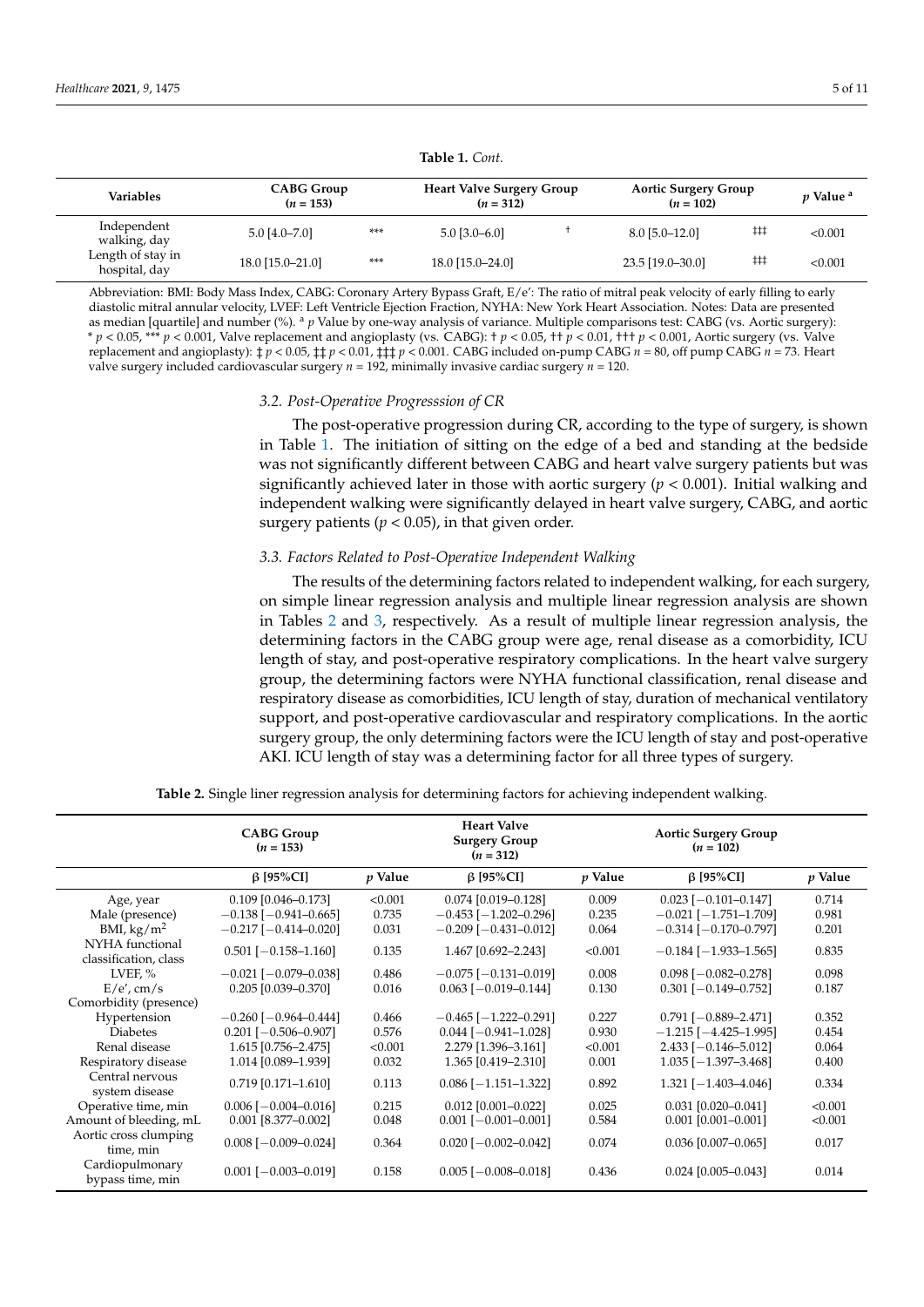<span id="page-4-0"></span>

| <b>Variables</b>                   | <b>CABG Group</b><br>$(n = 153)$ |     | <b>Heart Valve Surgery Group</b><br>$(n = 312)$ |  | <b>Aortic Surgery Group</b><br>$(n = 102)$ |     | <i>v</i> Value <sup>a</sup> |
|------------------------------------|----------------------------------|-----|-------------------------------------------------|--|--------------------------------------------|-----|-----------------------------|
| Independent<br>walking, day        | $5.0$ [4.0-7.0]                  | *** | $5.0$ [3.0–6.0]                                 |  | $8.0$ [5.0-12.0]                           | ##  | < 0.001                     |
| Length of stay in<br>hospital, day | 18.0 [15.0-21.0]                 | *** | 18.0 [15.0–24.0]                                |  | 23.5 [19.0-30.0]                           | ### | < 0.001                     |

**Table 1.** *Cont.*

Abbreviation: BMI: Body Mass Index, CABG: Coronary Artery Bypass Graft, E/e': The ratio of mitral peak velocity of early filling to early diastolic mitral annular velocity, LVEF: Left Ventricle Ejection Fraction, NYHA: New York Heart Association. Notes: Data are presented as median [quartile] and number (%). <sup>a</sup> *p* Value by one-way analysis of variance. Multiple comparisons test: CABG (vs. Aortic surgery): \* *p* < 0.05, \*\*\* *p* < 0.001, Valve replacement and angioplasty (vs. CABG): † *p* < 0.05, †† *p* < 0.01, ††† *p* < 0.001, Aortic surgery (vs. Valve replacement and angioplasty):  $\frac{1}{4}p < 0.05$ ,  $\frac{1}{4}$   $\frac{1}{4}p < 0.001$ . CABG included on-pump CABG *n* = 80, off pump CABG *n* = 73. Heart valve surgery included cardiovascular surgery *n* = 192, minimally invasive cardiac surgery *n* = 120.

#### *3.2. Post-Operative Progresssion of CR*

The post-operative progression during CR, according to the type of surgery, is shown in Table [1.](#page-4-0) The initiation of sitting on the edge of a bed and standing at the bedside was not significantly different between CABG and heart valve surgery patients but was significantly achieved later in those with aortic surgery (*p* < 0.001). Initial walking and independent walking were significantly delayed in heart valve surgery, CABG, and aortic surgery patients ( $p < 0.05$ ), in that given order.

## *3.3. Factors Related to Post-Operative Independent Walking*

The results of the determining factors related to independent walking, for each surgery, on simple linear regression analysis and multiple linear regression analysis are shown in Tables [2](#page-5-0) and [3,](#page-5-1) respectively. As a result of multiple linear regression analysis, the determining factors in the CABG group were age, renal disease as a comorbidity, ICU length of stay, and post-operative respiratory complications. In the heart valve surgery group, the determining factors were NYHA functional classification, renal disease and respiratory disease as comorbidities, ICU length of stay, duration of mechanical ventilatory support, and post-operative cardiovascular and respiratory complications. In the aortic surgery group, the only determining factors were the ICU length of stay and post-operative AKI. ICU length of stay was a determining factor for all three types of surgery.

| <b>Table 2.</b> Single liner regression analysis for determining factors for achieving independent walking. |  |  |  |  |
|-------------------------------------------------------------------------------------------------------------|--|--|--|--|
|                                                                                                             |  |  |  |  |

|                                          | <b>CABG Group</b><br>$(n = 153)$ |                | <b>Heart Valve</b><br><b>Surgery Group</b><br>$(n = 312)$ |           | <b>Aortic Surgery Group</b><br>$(n = 102)$ |         |
|------------------------------------------|----------------------------------|----------------|-----------------------------------------------------------|-----------|--------------------------------------------|---------|
|                                          | $\beta$ [95%CI]                  | <i>p</i> Value | $\beta$ [95%CI]                                           | $p$ Value | $\beta$ [95%CI]                            | p Value |
| Age, year                                | $0.109$ [0.046-0.173]            | < 0.001        | $0.074$ [0.019-0.128]                                     | 0.009     | $0.023$ [ $-0.101 - 0.147$ ]               | 0.714   |
| Male (presence)                          | $-0.138$ [ $-0.941 - 0.665$ ]    | 0.735          | $-0.453$ [ $-1.202 - 0.296$ ]                             | 0.235     | $-0.021$ [ $-1.751 - 1.709$ ]              | 0.981   |
| BMI, $\text{kg/m}^2$                     | $-0.217$ [ $-0.414 - 0.020$ ]    | 0.031          | $-0.209$ [ $-0.431 - 0.012$ ]                             | 0.064     | $-0.314$ [ $-0.170 - 0.797$ ]              | 0.201   |
| NYHA functional<br>classification, class | $0.501$ [-0.158-1.160]           | 0.135          | 1.467 [0.692-2.243]                                       | < 0.001   | $-0.184$ [ $-1.933 - 1.565$ ]              | 0.835   |
| LVEF, $%$                                | $-0.021$ [ $-0.079 - 0.038$ ]    | 0.486          | $-0.075$ [ $-0.131 - 0.019$ ]                             | 0.008     | $0.098$ [ $-0.082 - 0.278$ ]               | 0.098   |
| E/e', cm/s                               | $0.205$ [0.039-0.370]            | 0.016          | $0.063$ [ $-0.019 - 0.144$ ]                              | 0.130     | $0.301$ [-0.149-0.752]                     | 0.187   |
| Comorbidity (presence)                   |                                  |                |                                                           |           |                                            |         |
| Hypertension                             | $-0.260$ [ $-0.964 - 0.444$ ]    | 0.466          | $-0.465$ [ $-1.222 - 0.291$ ]                             | 0.227     | $0.791$ [-0.889-2.471]                     | 0.352   |
| <b>Diabetes</b>                          | $0.201$ [-0.506-0.907]           | 0.576          | $0.044$ [ $-0.941 - 1.028$ ]                              | 0.930     | $-1.215$ [ $-4.425-1.995$ ]                | 0.454   |
| Renal disease                            | 1.615 [0.756-2.475]              | < 0.001        | 2.279 [1.396-3.161]                                       | < 0.001   | $2.433$ [-0.146-5.012]                     | 0.064   |
| Respiratory disease                      | 1.014 [0.089-1.939]              | 0.032          | 1.365 [0.419-2.310]                                       | 0.001     | $1.035$ [ $-1.397-3.468$ ]                 | 0.400   |
| Central nervous<br>system disease        | $0.719$ [0.171-1.610]            | 0.113          | $0.086$ [ $-1.151-1.322$ ]                                | 0.892     | $1.321$ [-1.403-4.046]                     | 0.334   |
| Operative time, min                      | $0.006$ [ $-0.004 - 0.016$ ]     | 0.215          | $0.012$ [0.001-0.022]                                     | 0.025     | $0.031$ $[0.020 - 0.041]$                  | < 0.001 |
| Amount of bleeding, mL                   | $0.001$ [8.377-0.002]            | 0.048          | $0.001$ [-0.001-0.001]                                    | 0.584     | $0.001$ $[0.001 - 0.001]$                  | < 0.001 |
| Aortic cross clumping<br>time, min       | $0.008$ [ $-0.009 - 0.024$ ]     | 0.364          | $0.020$ [-0.002-0.042]                                    | 0.074     | $0.036$ [0.007-0.065]                      | 0.017   |
| Cardiopulmonary<br>bypass time, min      | $0.001$ [-0.003-0.019]           | 0.158          | $0.005$ [ $-0.008 - 0.018$ ]                              | 0.436     | $0.024$ [0.005-0.043]                      | 0.014   |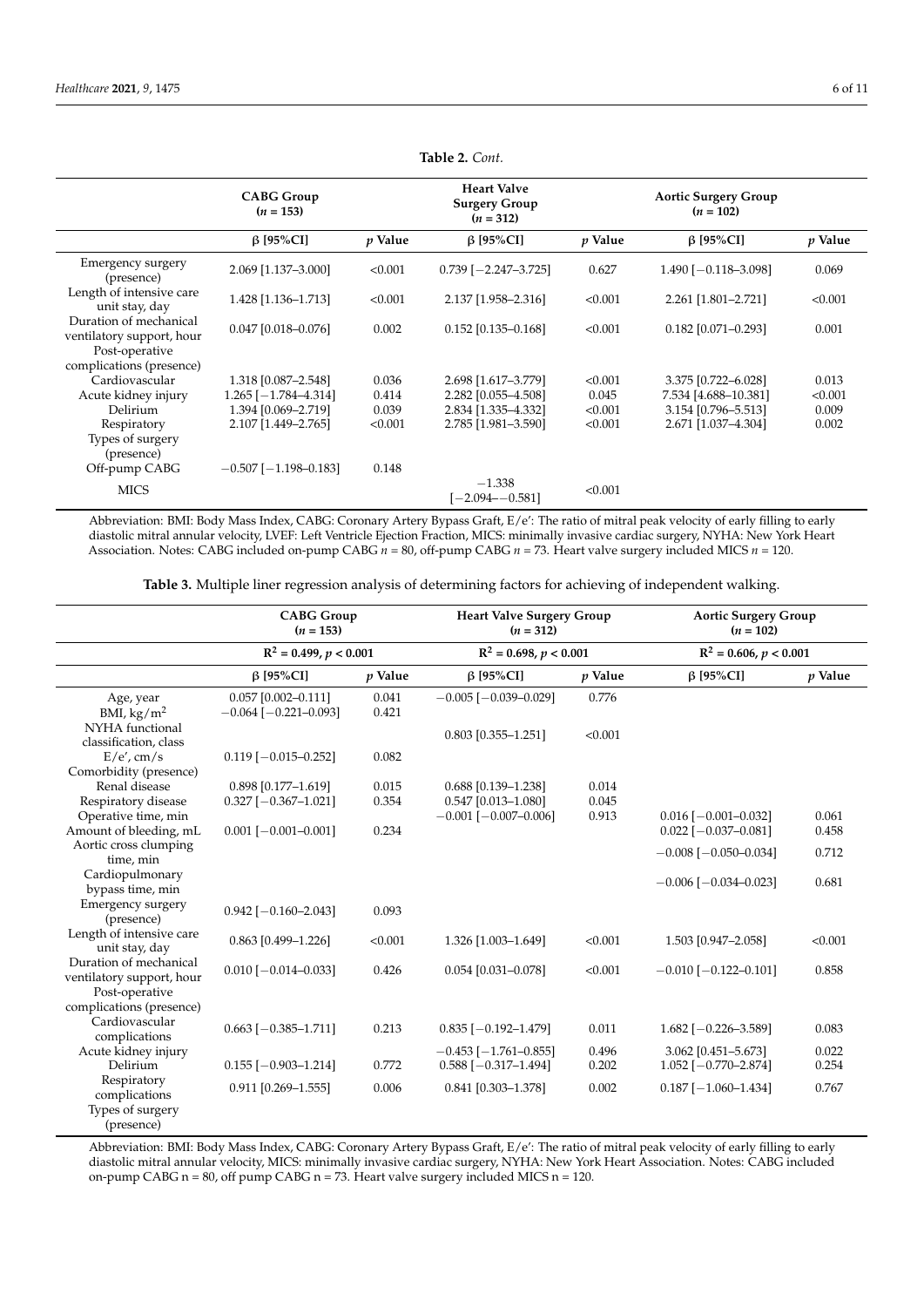<span id="page-5-0"></span>

|                                                     | <b>CABG Group</b><br>$(n = 153)$ |         | <b>Heart Valve</b><br><b>Surgery Group</b><br>$(n = 312)$ |                | <b>Aortic Surgery Group</b><br>$(n = 102)$ |                |
|-----------------------------------------------------|----------------------------------|---------|-----------------------------------------------------------|----------------|--------------------------------------------|----------------|
|                                                     | $\beta$ [95%CI]                  | p Value | $\beta$ [95%CI]                                           | <i>p</i> Value | $\beta$ [95%CI]                            | <i>p</i> Value |
| Emergency surgery<br>(presence)                     | 2.069 [1.137-3.000]              | < 0.001 | $0.739$ [-2.247-3.725]                                    | 0.627          | $1.490$ [-0.118-3.098]                     | 0.069          |
| Length of intensive care<br>unit stay, day          | 1.428 [1.136-1.713]              | < 0.001 | 2.137 [1.958-2.316]                                       | < 0.001        | 2.261 [1.801-2.721]                        | < 0.001        |
| Duration of mechanical<br>ventilatory support, hour | $0.047$ [0.018-0.076]            | 0.002   | $0.152$ [0.135-0.168]                                     | < 0.001        | $0.182$ [0.071-0.293]                      | 0.001          |
| Post-operative<br>complications (presence)          |                                  |         |                                                           |                |                                            |                |
| Cardiovascular                                      | 1.318 [0.087-2.548]              | 0.036   | 2.698 [1.617-3.779]                                       | < 0.001        | 3.375 [0.722-6.028]                        | 0.013          |
| Acute kidney injury                                 | $1.265$ [-1.784-4.314]           | 0.414   | 2.282 [0.055-4.508]                                       | 0.045          | 7.534 [4.688-10.381]                       | < 0.001        |
| <b>Delirium</b>                                     | 1.394 [0.069-2.719]              | 0.039   | 2.834 [1.335-4.332]                                       | < 0.001        | 3.154 [0.796-5.513]                        | 0.009          |
| Respiratory                                         | 2.107 [1.449-2.765]              | < 0.001 | 2.785 [1.981-3.590]                                       | < 0.001        | 2.671 [1.037-4.304]                        | 0.002          |
| Types of surgery<br>(presence)                      |                                  |         |                                                           |                |                                            |                |
| Off-pump CABG                                       | $-0.507$ [ $-1.198 - 0.183$ ]    | 0.148   |                                                           |                |                                            |                |
| <b>MICS</b>                                         |                                  |         | $-1.338$<br>$[-2.094 - 0.581]$                            | < 0.001        |                                            |                |

**Table 2.** *Cont.*

Abbreviation: BMI: Body Mass Index, CABG: Coronary Artery Bypass Graft, E/e': The ratio of mitral peak velocity of early filling to early diastolic mitral annular velocity, LVEF: Left Ventricle Ejection Fraction, MICS: minimally invasive cardiac surgery, NYHA: New York Heart Association. Notes: CABG included on-pump CABG *n* = 80, off-pump CABG *n* = 73. Heart valve surgery included MICS *n* = 120.

**Table 3.** Multiple liner regression analysis of determining factors for achieving of independent walking.

<span id="page-5-1"></span>

|                                                                       | <b>CABG</b> Group<br>$(n = 153)$                       |                | <b>Heart Valve Surgery Group</b><br>$(n = 312)$         |                | <b>Aortic Surgery Group</b><br>$(n = 102)$             |                |
|-----------------------------------------------------------------------|--------------------------------------------------------|----------------|---------------------------------------------------------|----------------|--------------------------------------------------------|----------------|
|                                                                       | $R^2 = 0.499, p < 0.001$                               |                | $R^2 = 0.698, p < 0.001$                                |                | $R^2 = 0.606, p < 0.001$                               |                |
|                                                                       | $\beta$ [95%CI]                                        | $p$ Value      | $\beta$ [95%CI]                                         | $p$ Value      | $\beta$ [95%CI]                                        | <i>v</i> Value |
| Age, year<br>BMI, $\text{kg}/\text{m}^2$<br>NYHA functional           | $0.057$ [0.002-0.111]<br>$-0.064$ [ $-0.221 - 0.093$ ] | 0.041<br>0.421 | $-0.005$ [ $-0.039 - 0.029$ ]                           | 0.776          |                                                        |                |
| classification, class                                                 |                                                        | 0.082          | $0.803$ [0.355-1.251]                                   | < 0.001        |                                                        |                |
| $E/e'$ , cm/s<br>Comorbidity (presence)                               | $0.119$ [ $-0.015 - 0.252$ ]                           |                |                                                         |                |                                                        |                |
| Renal disease<br>Respiratory disease                                  | 0.898 [0.177-1.619]<br>$0.327$ [-0.367-1.021]          | 0.015<br>0.354 | 0.688 [0.139-1.238]<br>0.547 [0.013-1.080]              | 0.014<br>0.045 |                                                        |                |
| Operative time, min<br>Amount of bleeding, mL                         | $0.001$ [-0.001-0.001]                                 | 0.234          | $-0.001$ [ $-0.007-0.006$ ]                             | 0.913          | $0.016$ [ $-0.001 - 0.032$ ]<br>$0.022$ [-0.037-0.081] | 0.061<br>0.458 |
| Aortic cross clumping<br>time, min                                    |                                                        |                |                                                         |                | $-0.008[-0.050 - 0.034]$                               | 0.712          |
| Cardiopulmonary<br>bypass time, min                                   |                                                        |                |                                                         |                | $-0.006$ [ $-0.034 - 0.023$ ]                          | 0.681          |
| Emergency surgery<br>(presence)                                       | $0.942$ [-0.160-2.043]                                 | 0.093          |                                                         |                |                                                        |                |
| Length of intensive care<br>unit stay, day                            | $0.863$ [0.499-1.226]                                  | < 0.001        | 1.326 [1.003-1.649]                                     | < 0.001        | 1.503 [0.947-2.058]                                    | < 0.001        |
| Duration of mechanical<br>ventilatory support, hour<br>Post-operative | $0.010$ [ $-0.014 - 0.033$ ]                           | 0.426          | $0.054$ [0.031-0.078]                                   | < 0.001        | $-0.010$ [ $-0.122 - 0.101$ ]                          | 0.858          |
| complications (presence)<br>Cardiovascular                            |                                                        |                |                                                         |                |                                                        |                |
| complications                                                         | $0.663$ [ $-0.385-1.711$ ]                             | 0.213          | $0.835$ [-0.192-1.479]                                  | 0.011          | $1.682$ [-0.226-3.589]                                 | 0.083          |
| Acute kidney injury<br><b>Delirium</b>                                | $0.155$ [ $-0.903 - 1.214$ ]                           | 0.772          | $-0.453$ [ $-1.761 - 0.855$ ]<br>$0.588$ [-0.317-1.494] | 0.496<br>0.202 | 3.062 [0.451-5.673]<br>$1.052$ [-0.770-2.874]          | 0.022<br>0.254 |
| Respiratory<br>complications<br>Types of surgery<br>(presence)        | $0.911$ $[0.269 - 1.555]$                              | 0.006          | 0.841 [0.303-1.378]                                     | 0.002          | $0.187$ [-1.060-1.434]                                 | 0.767          |

Abbreviation: BMI: Body Mass Index, CABG: Coronary Artery Bypass Graft, E/e': The ratio of mitral peak velocity of early filling to early diastolic mitral annular velocity, MICS: minimally invasive cardiac surgery, NYHA: New York Heart Association. Notes: CABG included on-pump CABG n = 80, off pump CABG n = 73. Heart valve surgery included MICS n = 120.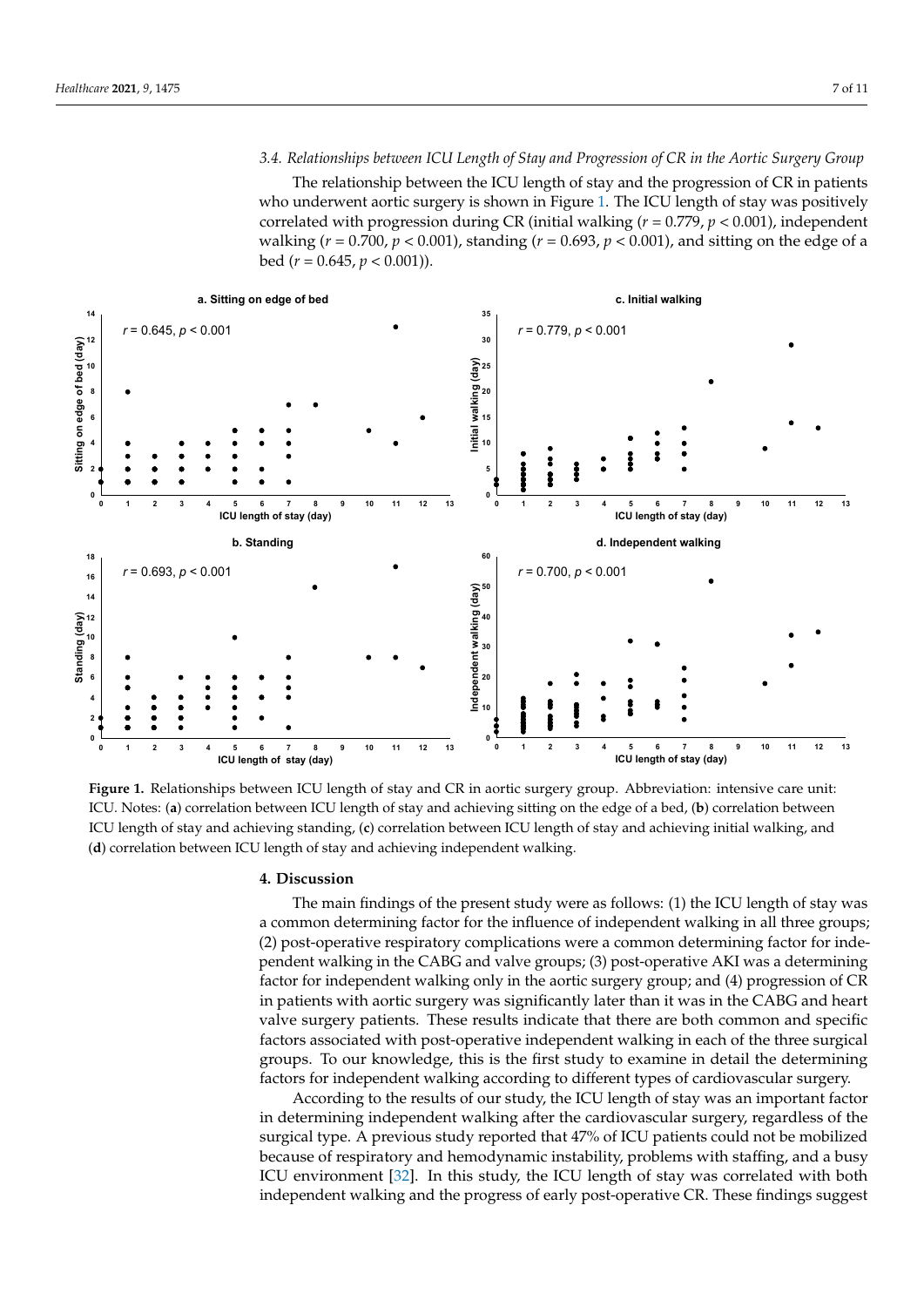# *3.4. Relationships between ICU Length of Stay and Progression of CR in the Aortic Surgery Group*

The relationship between the ICU length of stay and the progression of CR in patients who underwent aortic surgery is shown in Figure [1.](#page-6-0) The ICU length of stay was positively correlated with progression during CR (initial walking ( $r = 0.779$ ,  $p < 0.001$ ), independent walking (*r* = 0.700, *p* < 0.001), standing (*r* = 0.693, *p* < 0.001), and sitting on the edge of a bed (*r* = 0.645, *p* < 0.001)).

<span id="page-6-0"></span>

ICU. Notes: (a) correlation between ICU length of stay and achieving sitting on the edge of a bed, (b) correlation between Notes: (**a**) correlation between ICU length of stay and achieving sitting on the edge of a bed, (**b**) correlation between ICU ICU length of stay and achieving standing, (c) correlation between ICU length of stay and achieving initial walking, and correlation between ICU length of stay and achieving independent walking. (**d**) correlation between ICU length of stay and achieving independent walking. **Figure 1.** Relationships between ICU length of stay and CR in aortic surgery group. Abbreviation: intensive care unit:

## **4. Discussion**

The main findings of the present study were as follows: (1) the ICU length of stay was a common determining factor for the influence of independent walking in all three groups; (2) post-operative respiratory complications were a common determining factor for independent walking in the CABG and valve groups; (3) post-operative AKI was a determining factor for independent walking only in the aortic surgery group; and (4) progression of CR in patients with aortic surgery was significantly later than it was in the CABG and heart valve surgery patients. These results indicate that there are both common and specific factors associated with post-operative independent walking in each of the three surgical groups. To our knowledge, this is the first study to examine in detail the determining factors for independent walking according to different types of cardiovascular surgery.

According to the results of our study, the ICU length of stay was an important factor in determining independent walking after the cardiovascular surgery, regardless of the surgical type. A previous study reported that 47% of ICU patients could not be mobilized because of respiratory and hemodynamic instability, problems with staffing, and a busy ICU environment [32]. In this study, the ICU length of stay was correlated with both ICU environment [32]. In this study, the ICU length of stay was correlated with both independent walking and the progress of early post-operative CR. These findings suggest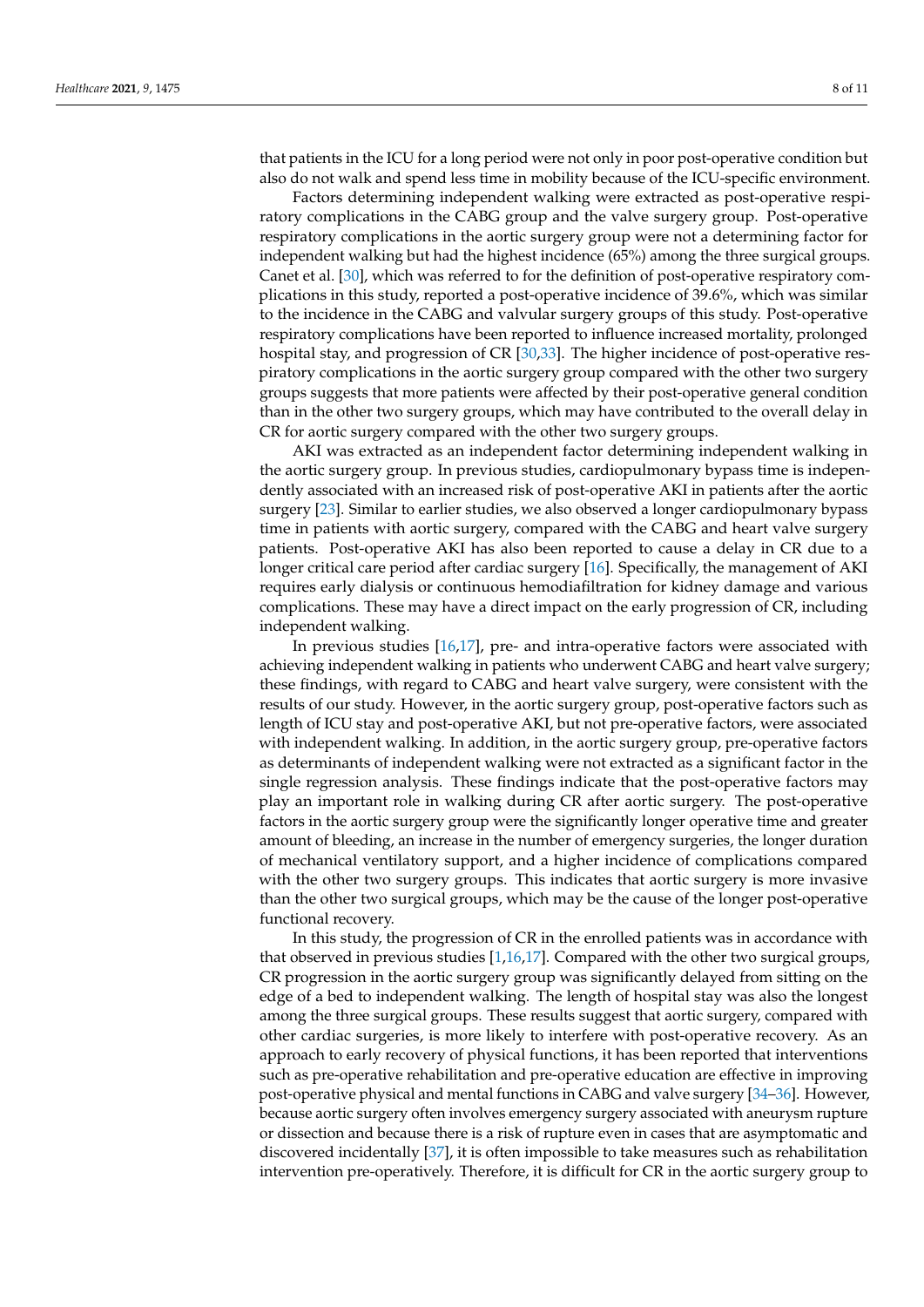that patients in the ICU for a long period were not only in poor post-operative condition but also do not walk and spend less time in mobility because of the ICU-specific environment.

Factors determining independent walking were extracted as post-operative respiratory complications in the CABG group and the valve surgery group. Post-operative respiratory complications in the aortic surgery group were not a determining factor for independent walking but had the highest incidence (65%) among the three surgical groups. Canet et al. [\[30\]](#page-10-0), which was referred to for the definition of post-operative respiratory complications in this study, reported a post-operative incidence of 39.6%, which was similar to the incidence in the CABG and valvular surgery groups of this study. Post-operative respiratory complications have been reported to influence increased mortality, prolonged hospital stay, and progression of CR [\[30](#page-10-0)[,33\]](#page-10-3). The higher incidence of post-operative respiratory complications in the aortic surgery group compared with the other two surgery groups suggests that more patients were affected by their post-operative general condition than in the other two surgery groups, which may have contributed to the overall delay in CR for aortic surgery compared with the other two surgery groups.

AKI was extracted as an independent factor determining independent walking in the aortic surgery group. In previous studies, cardiopulmonary bypass time is independently associated with an increased risk of post-operative AKI in patients after the aortic surgery [\[23\]](#page-9-12). Similar to earlier studies, we also observed a longer cardiopulmonary bypass time in patients with aortic surgery, compared with the CABG and heart valve surgery patients. Post-operative AKI has also been reported to cause a delay in CR due to a longer critical care period after cardiac surgery [\[16\]](#page-9-3). Specifically, the management of AKI requires early dialysis or continuous hemodiafiltration for kidney damage and various complications. These may have a direct impact on the early progression of CR, including independent walking.

In previous studies [\[16,](#page-9-3)[17\]](#page-9-4), pre- and intra-operative factors were associated with achieving independent walking in patients who underwent CABG and heart valve surgery; these findings, with regard to CABG and heart valve surgery, were consistent with the results of our study. However, in the aortic surgery group, post-operative factors such as length of ICU stay and post-operative AKI, but not pre-operative factors, were associated with independent walking. In addition, in the aortic surgery group, pre-operative factors as determinants of independent walking were not extracted as a significant factor in the single regression analysis. These findings indicate that the post-operative factors may play an important role in walking during CR after aortic surgery. The post-operative factors in the aortic surgery group were the significantly longer operative time and greater amount of bleeding, an increase in the number of emergency surgeries, the longer duration of mechanical ventilatory support, and a higher incidence of complications compared with the other two surgery groups. This indicates that aortic surgery is more invasive than the other two surgical groups, which may be the cause of the longer post-operative functional recovery.

In this study, the progression of CR in the enrolled patients was in accordance with that observed in previous studies [\[1,](#page-8-0)[16,](#page-9-3)[17\]](#page-9-4). Compared with the other two surgical groups, CR progression in the aortic surgery group was significantly delayed from sitting on the edge of a bed to independent walking. The length of hospital stay was also the longest among the three surgical groups. These results suggest that aortic surgery, compared with other cardiac surgeries, is more likely to interfere with post-operative recovery. As an approach to early recovery of physical functions, it has been reported that interventions such as pre-operative rehabilitation and pre-operative education are effective in improving post-operative physical and mental functions in CABG and valve surgery [\[34–](#page-10-4)[36\]](#page-10-5). However, because aortic surgery often involves emergency surgery associated with aneurysm rupture or dissection and because there is a risk of rupture even in cases that are asymptomatic and discovered incidentally [\[37\]](#page-10-6), it is often impossible to take measures such as rehabilitation intervention pre-operatively. Therefore, it is difficult for CR in the aortic surgery group to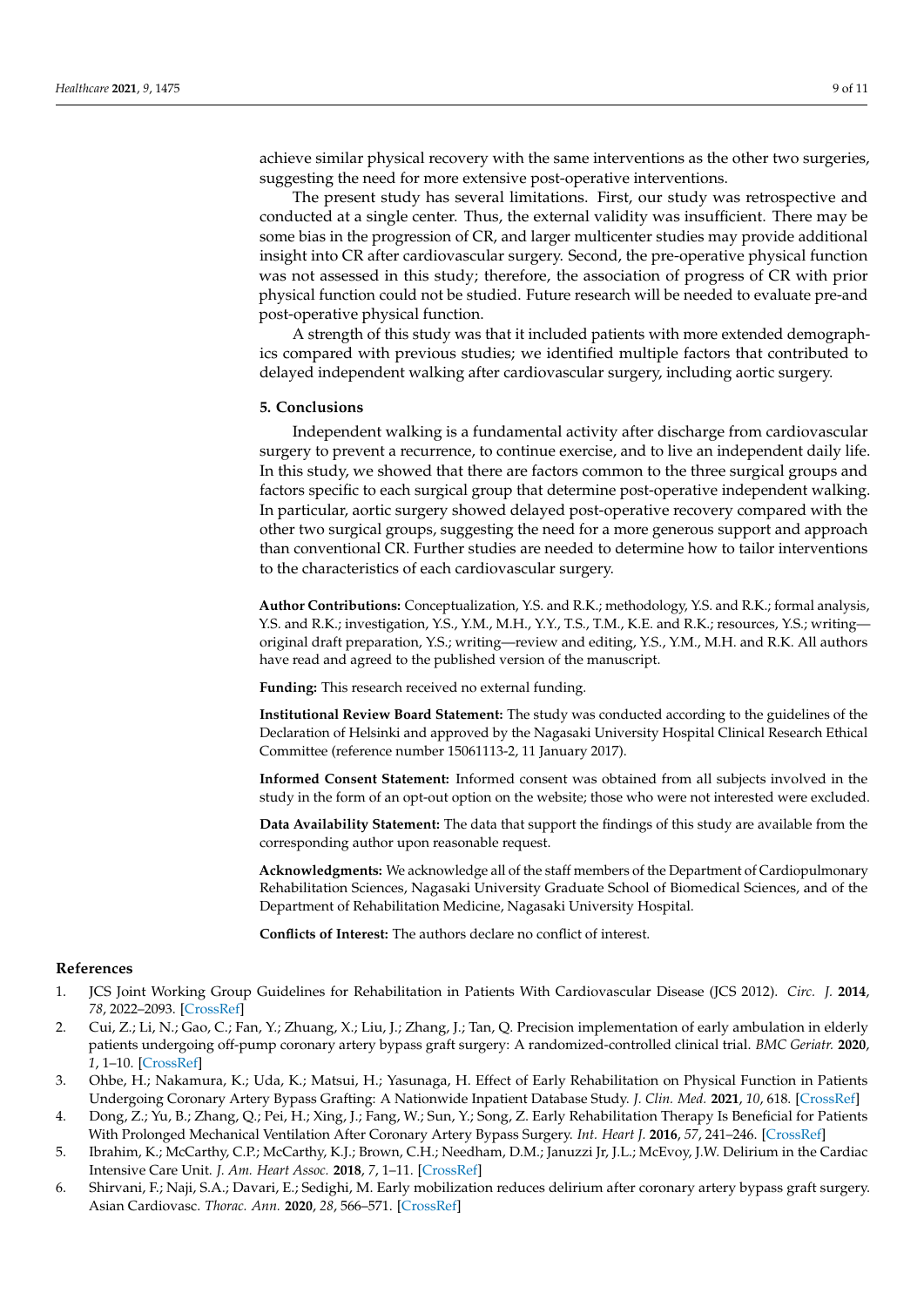achieve similar physical recovery with the same interventions as the other two surgeries, suggesting the need for more extensive post-operative interventions.

The present study has several limitations. First, our study was retrospective and conducted at a single center. Thus, the external validity was insufficient. There may be some bias in the progression of CR, and larger multicenter studies may provide additional insight into CR after cardiovascular surgery. Second, the pre-operative physical function was not assessed in this study; therefore, the association of progress of CR with prior physical function could not be studied. Future research will be needed to evaluate pre-and post-operative physical function.

A strength of this study was that it included patients with more extended demographics compared with previous studies; we identified multiple factors that contributed to delayed independent walking after cardiovascular surgery, including aortic surgery.

#### **5. Conclusions**

Independent walking is a fundamental activity after discharge from cardiovascular surgery to prevent a recurrence, to continue exercise, and to live an independent daily life. In this study, we showed that there are factors common to the three surgical groups and factors specific to each surgical group that determine post-operative independent walking. In particular, aortic surgery showed delayed post-operative recovery compared with the other two surgical groups, suggesting the need for a more generous support and approach than conventional CR. Further studies are needed to determine how to tailor interventions to the characteristics of each cardiovascular surgery.

**Author Contributions:** Conceptualization, Y.S. and R.K.; methodology, Y.S. and R.K.; formal analysis, Y.S. and R.K.; investigation, Y.S., Y.M., M.H., Y.Y., T.S., T.M., K.E. and R.K.; resources, Y.S.; writing original draft preparation, Y.S.; writing—review and editing, Y.S., Y.M., M.H. and R.K. All authors have read and agreed to the published version of the manuscript.

**Funding:** This research received no external funding.

**Institutional Review Board Statement:** The study was conducted according to the guidelines of the Declaration of Helsinki and approved by the Nagasaki University Hospital Clinical Research Ethical Committee (reference number 15061113-2, 11 January 2017).

**Informed Consent Statement:** Informed consent was obtained from all subjects involved in the study in the form of an opt-out option on the website; those who were not interested were excluded.

**Data Availability Statement:** The data that support the findings of this study are available from the corresponding author upon reasonable request.

**Acknowledgments:** We acknowledge all of the staff members of the Department of Cardiopulmonary Rehabilitation Sciences, Nagasaki University Graduate School of Biomedical Sciences, and of the Department of Rehabilitation Medicine, Nagasaki University Hospital.

**Conflicts of Interest:** The authors declare no conflict of interest.

# **References**

- <span id="page-8-0"></span>1. JCS Joint Working Group Guidelines for Rehabilitation in Patients With Cardiovascular Disease (JCS 2012). *Circ. J.* **2014**, *78*, 2022–2093. [\[CrossRef\]](http://doi.org/10.1253/circj.CJ-66-0094)
- 2. Cui, Z.; Li, N.; Gao, C.; Fan, Y.; Zhuang, X.; Liu, J.; Zhang, J.; Tan, Q. Precision implementation of early ambulation in elderly patients undergoing off-pump coronary artery bypass graft surgery: A randomized-controlled clinical trial. *BMC Geriatr.* **2020**, *1*, 1–10. [\[CrossRef\]](http://doi.org/10.1186/s12877-020-01823-1)
- <span id="page-8-1"></span>3. Ohbe, H.; Nakamura, K.; Uda, K.; Matsui, H.; Yasunaga, H. Effect of Early Rehabilitation on Physical Function in Patients Undergoing Coronary Artery Bypass Grafting: A Nationwide Inpatient Database Study. *J. Clin. Med.* **2021**, *10*, 618. [\[CrossRef\]](http://doi.org/10.3390/jcm10040618)
- <span id="page-8-2"></span>4. Dong, Z.; Yu, B.; Zhang, Q.; Pei, H.; Xing, J.; Fang, W.; Sun, Y.; Song, Z. Early Rehabilitation Therapy Is Beneficial for Patients With Prolonged Mechanical Ventilation After Coronary Artery Bypass Surgery. *Int. Heart J.* **2016**, *57*, 241–246. [\[CrossRef\]](http://doi.org/10.1536/ihj.15-316)
- 5. Ibrahim, K.; McCarthy, C.P.; McCarthy, K.J.; Brown, C.H.; Needham, D.M.; Januzzi Jr, J.L.; McEvoy, J.W. Delirium in the Cardiac Intensive Care Unit. *J. Am. Heart Assoc.* **2018**, *7*, 1–11. [\[CrossRef\]](http://doi.org/10.1161/JAHA.118.008568)
- 6. Shirvani, F.; Naji, S.A.; Davari, E.; Sedighi, M. Early mobilization reduces delirium after coronary artery bypass graft surgery. Asian Cardiovasc. *Thorac. Ann.* **2020**, *28*, 566–571. [\[CrossRef\]](http://doi.org/10.1177/0218492320947230)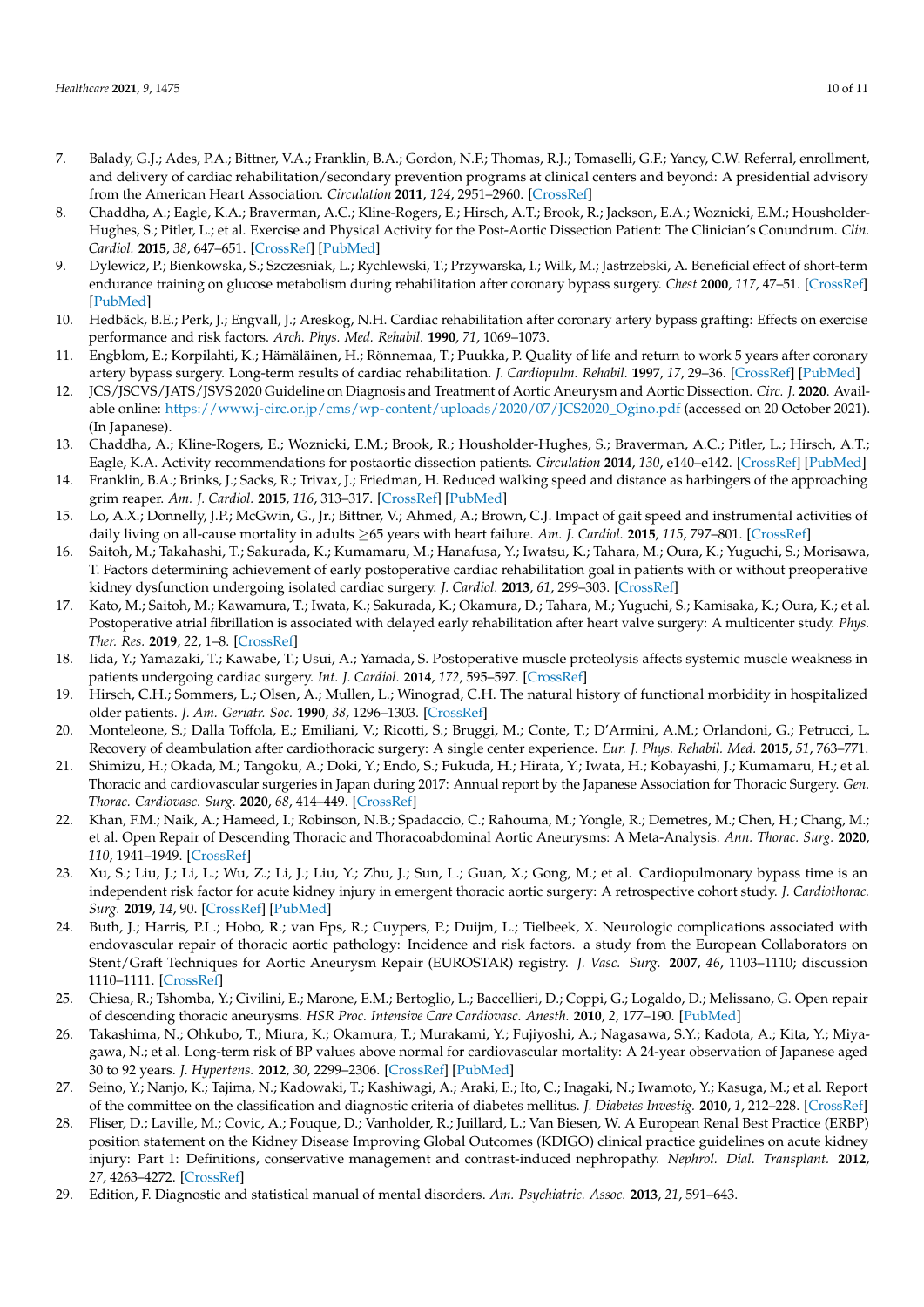- 7. Balady, G.J.; Ades, P.A.; Bittner, V.A.; Franklin, B.A.; Gordon, N.F.; Thomas, R.J.; Tomaselli, G.F.; Yancy, C.W. Referral, enrollment, and delivery of cardiac rehabilitation/secondary prevention programs at clinical centers and beyond: A presidential advisory from the American Heart Association. *Circulation* **2011**, *124*, 2951–2960. [\[CrossRef\]](http://doi.org/10.1161/CIR.0b013e31823b21e2)
- <span id="page-9-0"></span>8. Chaddha, A.; Eagle, K.A.; Braverman, A.C.; Kline-Rogers, E.; Hirsch, A.T.; Brook, R.; Jackson, E.A.; Woznicki, E.M.; Housholder-Hughes, S.; Pitler, L.; et al. Exercise and Physical Activity for the Post-Aortic Dissection Patient: The Clinician's Conundrum. *Clin. Cardiol.* **2015**, *38*, 647–651. [\[CrossRef\]](http://doi.org/10.1002/clc.22481) [\[PubMed\]](http://www.ncbi.nlm.nih.gov/pubmed/26769698)
- <span id="page-9-1"></span>9. Dylewicz, P.; Bienkowska, S.; Szczesniak, L.; Rychlewski, T.; Przywarska, I.; Wilk, M.; Jastrzebski, A. Beneficial effect of short-term endurance training on glucose metabolism during rehabilitation after coronary bypass surgery. *Chest* **2000**, *117*, 47–51. [\[CrossRef\]](http://doi.org/10.1378/chest.117.1.47) [\[PubMed\]](http://www.ncbi.nlm.nih.gov/pubmed/10631198)
- 10. Hedbäck, B.E.; Perk, J.; Engvall, J.; Areskog, N.H. Cardiac rehabilitation after coronary artery bypass grafting: Effects on exercise performance and risk factors. *Arch. Phys. Med. Rehabil.* **1990**, *71*, 1069–1073.
- 11. Engblom, E.; Korpilahti, K.; Hämäläinen, H.; Rönnemaa, T.; Puukka, P. Quality of life and return to work 5 years after coronary artery bypass surgery. Long-term results of cardiac rehabilitation. *J. Cardiopulm. Rehabil.* **1997**, *17*, 29–36. [\[CrossRef\]](http://doi.org/10.1097/00008483-199701000-00004) [\[PubMed\]](http://www.ncbi.nlm.nih.gov/pubmed/9041068)
- <span id="page-9-8"></span>12. JCS/JSCVS/JATS/JSVS 2020 Guideline on Diagnosis and Treatment of Aortic Aneurysm and Aortic Dissection. *Circ. J.* **2020**. Available online: [https://www.j-circ.or.jp/cms/wp-content/uploads/2020/07/JCS2020\\_Ogino.pdf](https://www.j-circ.or.jp/cms/wp-content/uploads/2020/07/JCS2020_Ogino.pdf) (accessed on 20 October 2021). (In Japanese).
- <span id="page-9-9"></span>13. Chaddha, A.; Kline-Rogers, E.; Woznicki, E.M.; Brook, R.; Housholder-Hughes, S.; Braverman, A.C.; Pitler, L.; Hirsch, A.T.; Eagle, K.A. Activity recommendations for postaortic dissection patients. *Circulation* **2014**, *130*, e140–e142. [\[CrossRef\]](http://doi.org/10.1161/CIRCULATIONAHA.113.005819) [\[PubMed\]](http://www.ncbi.nlm.nih.gov/pubmed/25311622)
- 14. Franklin, B.A.; Brinks, J.; Sacks, R.; Trivax, J.; Friedman, H. Reduced walking speed and distance as harbingers of the approaching grim reaper. *Am. J. Cardiol.* **2015**, *116*, 313–317. [\[CrossRef\]](http://doi.org/10.1016/j.amjcard.2015.04.024) [\[PubMed\]](http://www.ncbi.nlm.nih.gov/pubmed/25972052)
- <span id="page-9-2"></span>15. Lo, A.X.; Donnelly, J.P.; McGwin, G., Jr.; Bittner, V.; Ahmed, A.; Brown, C.J. Impact of gait speed and instrumental activities of daily living on all-cause mortality in adults ≥65 years with heart failure. *Am. J. Cardiol.* **2015**, *115*, 797–801. [\[CrossRef\]](http://doi.org/10.1016/j.amjcard.2014.12.044)
- <span id="page-9-3"></span>16. Saitoh, M.; Takahashi, T.; Sakurada, K.; Kumamaru, M.; Hanafusa, Y.; Iwatsu, K.; Tahara, M.; Oura, K.; Yuguchi, S.; Morisawa, T. Factors determining achievement of early postoperative cardiac rehabilitation goal in patients with or without preoperative kidney dysfunction undergoing isolated cardiac surgery. *J. Cardiol.* **2013**, *61*, 299–303. [\[CrossRef\]](http://doi.org/10.1016/j.jjcc.2012.12.014)
- <span id="page-9-4"></span>17. Kato, M.; Saitoh, M.; Kawamura, T.; Iwata, K.; Sakurada, K.; Okamura, D.; Tahara, M.; Yuguchi, S.; Kamisaka, K.; Oura, K.; et al. Postoperative atrial fibrillation is associated with delayed early rehabilitation after heart valve surgery: A multicenter study. *Phys. Ther. Res.* **2019**, *22*, 1–8. [\[CrossRef\]](http://doi.org/10.1298/ptr.E9957)
- <span id="page-9-5"></span>18. Iida, Y.; Yamazaki, T.; Kawabe, T.; Usui, A.; Yamada, S. Postoperative muscle proteolysis affects systemic muscle weakness in patients undergoing cardiac surgery. *Int. J. Cardiol.* **2014**, *172*, 595–597. [\[CrossRef\]](http://doi.org/10.1016/j.ijcard.2014.01.062)
- <span id="page-9-6"></span>19. Hirsch, C.H.; Sommers, L.; Olsen, A.; Mullen, L.; Winograd, C.H. The natural history of functional morbidity in hospitalized older patients. *J. Am. Geriatr. Soc.* **1990**, *38*, 1296–1303. [\[CrossRef\]](http://doi.org/10.1111/j.1532-5415.1990.tb03451.x)
- <span id="page-9-7"></span>20. Monteleone, S.; Dalla Toffola, E.; Emiliani, V.; Ricotti, S.; Bruggi, M.; Conte, T.; D'Armini, A.M.; Orlandoni, G.; Petrucci, L. Recovery of deambulation after cardiothoracic surgery: A single center experience. *Eur. J. Phys. Rehabil. Med.* **2015**, *51*, 763–771.
- <span id="page-9-10"></span>21. Shimizu, H.; Okada, M.; Tangoku, A.; Doki, Y.; Endo, S.; Fukuda, H.; Hirata, Y.; Iwata, H.; Kobayashi, J.; Kumamaru, H.; et al. Thoracic and cardiovascular surgeries in Japan during 2017: Annual report by the Japanese Association for Thoracic Surgery. *Gen. Thorac. Cardiovasc. Surg.* **2020**, *68*, 414–449. [\[CrossRef\]](http://doi.org/10.1007/s11748-020-01298-2)
- <span id="page-9-11"></span>22. Khan, F.M.; Naik, A.; Hameed, I.; Robinson, N.B.; Spadaccio, C.; Rahouma, M.; Yongle, R.; Demetres, M.; Chen, H.; Chang, M.; et al. Open Repair of Descending Thoracic and Thoracoabdominal Aortic Aneurysms: A Meta-Analysis. *Ann. Thorac. Surg.* **2020**, *110*, 1941–1949. [\[CrossRef\]](http://doi.org/10.1016/j.athoracsur.2020.04.069)
- <span id="page-9-12"></span>23. Xu, S.; Liu, J.; Li, L.; Wu, Z.; Li, J.; Liu, Y.; Zhu, J.; Sun, L.; Guan, X.; Gong, M.; et al. Cardiopulmonary bypass time is an independent risk factor for acute kidney injury in emergent thoracic aortic surgery: A retrospective cohort study. *J. Cardiothorac. Surg.* **2019**, *14*, 90. [\[CrossRef\]](http://doi.org/10.1186/s13019-019-0907-x) [\[PubMed\]](http://www.ncbi.nlm.nih.gov/pubmed/31064409)
- 24. Buth, J.; Harris, P.L.; Hobo, R.; van Eps, R.; Cuypers, P.; Duijm, L.; Tielbeek, X. Neurologic complications associated with endovascular repair of thoracic aortic pathology: Incidence and risk factors. a study from the European Collaborators on Stent/Graft Techniques for Aortic Aneurysm Repair (EUROSTAR) registry. *J. Vasc. Surg.* **2007**, *46*, 1103–1110; discussion 1110–1111. [\[CrossRef\]](http://doi.org/10.1016/j.jvs.2007.08.020)
- <span id="page-9-13"></span>25. Chiesa, R.; Tshomba, Y.; Civilini, E.; Marone, E.M.; Bertoglio, L.; Baccellieri, D.; Coppi, G.; Logaldo, D.; Melissano, G. Open repair of descending thoracic aneurysms. *HSR Proc. Intensive Care Cardiovasc. Anesth.* **2010**, *2*, 177–190. [\[PubMed\]](http://www.ncbi.nlm.nih.gov/pubmed/23440685)
- <span id="page-9-14"></span>26. Takashima, N.; Ohkubo, T.; Miura, K.; Okamura, T.; Murakami, Y.; Fujiyoshi, A.; Nagasawa, S.Y.; Kadota, A.; Kita, Y.; Miyagawa, N.; et al. Long-term risk of BP values above normal for cardiovascular mortality: A 24-year observation of Japanese aged 30 to 92 years. *J. Hypertens.* **2012**, *30*, 2299–2306. [\[CrossRef\]](http://doi.org/10.1097/HJH.0b013e328359a9f7) [\[PubMed\]](http://www.ncbi.nlm.nih.gov/pubmed/23079682)
- <span id="page-9-15"></span>27. Seino, Y.; Nanjo, K.; Tajima, N.; Kadowaki, T.; Kashiwagi, A.; Araki, E.; Ito, C.; Inagaki, N.; Iwamoto, Y.; Kasuga, M.; et al. Report of the committee on the classification and diagnostic criteria of diabetes mellitus. *J. Diabetes Investig.* **2010**, *1*, 212–228. [\[CrossRef\]](http://doi.org/10.1007/s13340-010-0006-7)
- <span id="page-9-16"></span>28. Fliser, D.; Laville, M.; Covic, A.; Fouque, D.; Vanholder, R.; Juillard, L.; Van Biesen, W. A European Renal Best Practice (ERBP) position statement on the Kidney Disease Improving Global Outcomes (KDIGO) clinical practice guidelines on acute kidney injury: Part 1: Definitions, conservative management and contrast-induced nephropathy. *Nephrol. Dial. Transplant.* **2012**, *27*, 4263–4272. [\[CrossRef\]](http://doi.org/10.1093/ndt/gfs375)
- <span id="page-9-17"></span>29. Edition, F. Diagnostic and statistical manual of mental disorders. *Am. Psychiatric. Assoc.* **2013**, *21*, 591–643.